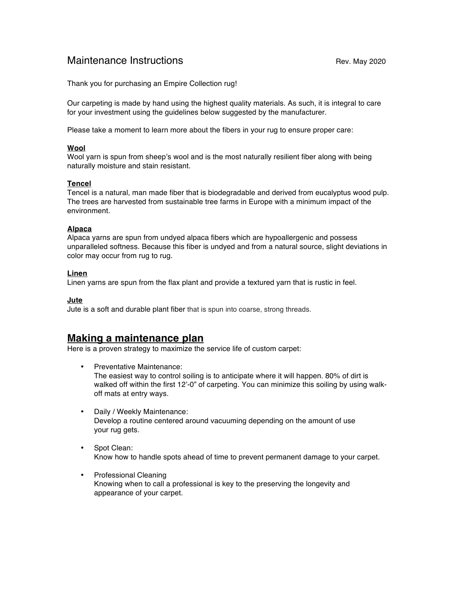# Maintenance Instructions **Maintenance Instructions** All revenues and Rev. May 2020

Thank you for purchasing an Empire Collection rug!

Our carpeting is made by hand using the highest quality materials. As such, it is integral to care for your investment using the guidelines below suggested by the manufacturer.

Please take a moment to learn more about the fibers in your rug to ensure proper care:

### **Wool**

Wool yarn is spun from sheep's wool and is the most naturally resilient fiber along with being naturally moisture and stain resistant.

### **Tencel**

Tencel is a natural, man made fiber that is biodegradable and derived from eucalyptus wood pulp. The trees are harvested from sustainable tree farms in Europe with a minimum impact of the environment.

#### **Alpaca**

Alpaca yarns are spun from undyed alpaca fibers which are hypoallergenic and possess unparalleled softness. Because this fiber is undyed and from a natural source, slight deviations in color may occur from rug to rug.

### **Linen**

Linen yarns are spun from the flax plant and provide a textured yarn that is rustic in feel.

#### **Jute**

Jute is a soft and durable plant fiber that is spun into coarse, strong threads.

# **Making a maintenance plan**

Here is a proven strategy to maximize the service life of custom carpet:

- Preventative Maintenance: The easiest way to control soiling is to anticipate where it will happen. 80% of dirt is walked off within the first 12'-0" of carpeting. You can minimize this soiling by using walkoff mats at entry ways.
- Daily / Weekly Maintenance: Develop a routine centered around vacuuming depending on the amount of use your rug gets.
- Spot Clean: Know how to handle spots ahead of time to prevent permanent damage to your carpet.
- Professional Cleaning Knowing when to call a professional is key to the preserving the longevity and appearance of your carpet.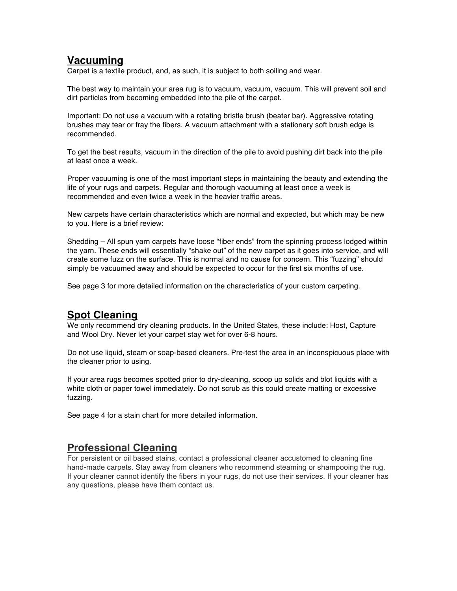# **Vacuuming**

Carpet is a textile product, and, as such, it is subject to both soiling and wear.

The best way to maintain your area rug is to vacuum, vacuum, vacuum. This will prevent soil and dirt particles from becoming embedded into the pile of the carpet.

Important: Do not use a vacuum with a rotating bristle brush (beater bar). Aggressive rotating brushes may tear or fray the fibers. A vacuum attachment with a stationary soft brush edge is recommended.

To get the best results, vacuum in the direction of the pile to avoid pushing dirt back into the pile at least once a week.

Proper vacuuming is one of the most important steps in maintaining the beauty and extending the life of your rugs and carpets. Regular and thorough vacuuming at least once a week is recommended and even twice a week in the heavier traffic areas.

New carpets have certain characteristics which are normal and expected, but which may be new to you. Here is a brief review:

Shedding – All spun yarn carpets have loose "fiber ends" from the spinning process lodged within the yarn. These ends will essentially "shake out" of the new carpet as it goes into service, and will create some fuzz on the surface. This is normal and no cause for concern. This "fuzzing" should simply be vacuumed away and should be expected to occur for the first six months of use.

See page 3 for more detailed information on the characteristics of your custom carpeting.

# **Spot Cleaning**

We only recommend dry cleaning products. In the United States, these include: Host, Capture and Wool Dry. Never let your carpet stay wet for over 6-8 hours.

Do not use liquid, steam or soap-based cleaners. Pre-test the area in an inconspicuous place with the cleaner prior to using.

If your area rugs becomes spotted prior to dry-cleaning, scoop up solids and blot liquids with a white cloth or paper towel immediately. Do not scrub as this could create matting or excessive fuzzing.

See page 4 for a stain chart for more detailed information.

# **Professional Cleaning**

For persistent or oil based stains, contact a professional cleaner accustomed to cleaning fine hand-made carpets. Stay away from cleaners who recommend steaming or shampooing the rug. If your cleaner cannot identify the fibers in your rugs, do not use their services. If your cleaner has any questions, please have them contact us.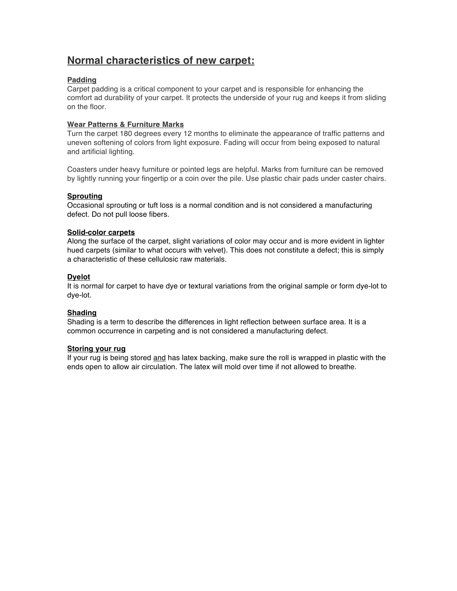# **Normal characteristics of new carpet:**

### **Padding**

Carpet padding is a critical component to your carpet and is responsible for enhancing the comfort ad durability of your carpet. It protects the underside of your rug and keeps it from sliding on the floor.

### **Wear Patterns & Furniture Marks**

Turn the carpet 180 degrees every 12 months to eliminate the appearance of traffic patterns and uneven softening of colors from light exposure. Fading will occur from being exposed to natural and artificial lighting.

Coasters under heavy furniture or pointed legs are helpful. Marks from furniture can be removed by lightly running your fingertip or a coin over the pile. Use plastic chair pads under caster chairs.

### **Sprouting**

Occasional sprouting or tuft loss is a normal condition and is not considered a manufacturing defect. Do not pull loose fibers.

### **Solid-color carpets**

Along the surface of the carpet, slight variations of color may occur and is more evident in lighter hued carpets (similar to what occurs with velvet). This does not constitute a defect; this is simply a characteristic of these cellulosic raw materials.

### **Dyelot**

It is normal for carpet to have dye or textural variations from the original sample or form dye-lot to dye-lot.

#### **Shading**

Shading is a term to describe the differences in light reflection between surface area. It is a common occurrence in carpeting and is not considered a manufacturing defect.

#### **Storing your rug**

If your rug is being stored and has latex backing, make sure the roll is wrapped in plastic with the ends open to allow air circulation. The latex will mold over time if not allowed to breathe.